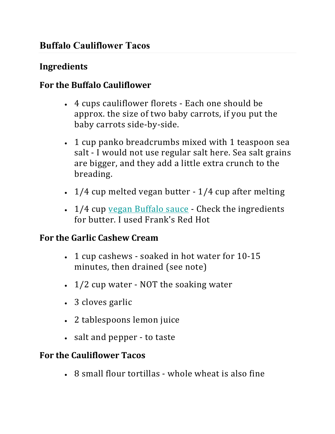# **Buffalo Cauliflower Tacos**

#### **Ingredients**

### **For the Buffalo Cauliflower**

- 4 cups cauliflower florets Each one should be approx. the size of two baby carrots, if you put the baby carrots side-by-side.
- 1 cup panko breadcrumbs mixed with 1 teaspoon sea salt - I would not use regular salt here. Sea salt grains are bigger, and they add a little extra crunch to the breading.
- $1/4$  cup melted vegan butter  $1/4$  cup after melting
- 1/4 cup vegan Buffalo sauce Check the ingredients for butter. I used Frank's Red Hot

#### **For the Garlic Cashew Cream**

- 1 cup cashews soaked in hot water for 10-15 minutes, then drained (see note)
- $1/2$  cup water NOT the soaking water
- 3 cloves garlic
- 2 tablespoons lemon juice
- salt and pepper to taste

### **For the Cauliflower Tacos**

 $\cdot$  8 small flour tortillas - whole wheat is also fine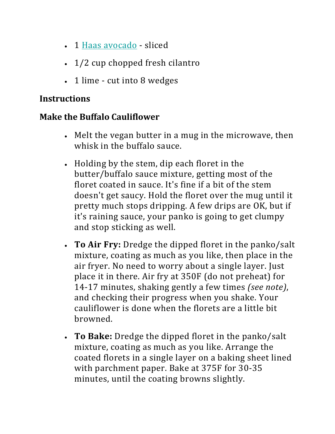- 1 Haas avocado sliced
- $\cdot$  1/2 cup chopped fresh cilantro
- $\cdot$  1 lime cut into 8 wedges

## **Instructions**

## **Make the Buffalo Cauliflower**

- Melt the vegan butter in a mug in the microwave, then whisk in the buffalo sauce.
- Holding by the stem, dip each floret in the butter/buffalo sauce mixture, getting most of the floret coated in sauce. It's fine if a bit of the stem doesn't get saucy. Hold the floret over the mug until it pretty much stops dripping. A few drips are OK, but if it's raining sauce, your panko is going to get clumpy and stop sticking as well.
- **To Air Fry:** Dredge the dipped floret in the panko/salt mixture, coating as much as you like, then place in the air fryer. No need to worry about a single layer. Just place it in there. Air fry at 350F (do not preheat) for 14-17 minutes, shaking gently a few times *(see note)*, and checking their progress when you shake. Your cauliflower is done when the florets are a little bit browned.
- **To Bake:** Dredge the dipped floret in the panko/salt mixture, coating as much as you like. Arrange the coated florets in a single layer on a baking sheet lined with parchment paper. Bake at 375F for 30-35 minutes, until the coating browns slightly.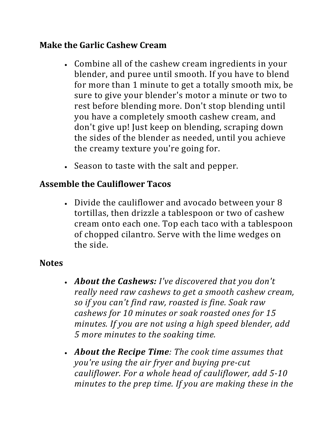### **Make the Garlic Cashew Cream**

- Combine all of the cashew cream ingredients in your blender, and puree until smooth. If you have to blend for more than 1 minute to get a totally smooth mix, be sure to give your blender's motor a minute or two to rest before blending more. Don't stop blending until you have a completely smooth cashew cream, and don't give up! Just keep on blending, scraping down the sides of the blender as needed, until you achieve the creamy texture you're going for.
- Season to taste with the salt and pepper.

### **Assemble the Cauliflower Tacos**

• Divide the cauliflower and avocado between your 8 tortillas, then drizzle a tablespoon or two of cashew cream onto each one. Top each taco with a tablespoon of chopped cilantro. Serve with the lime wedges on the side.

#### **Notes**

- *About the Cashews: I've discovered that you don't really need raw cashews to get a smooth cashew cream, so if you can't find raw, roasted is fine. Soak raw*  cashews for 10 minutes or soak roasted ones for 15 *minutes. If you are not using a high speed blender, add 5 more minutes to the soaking time.*
- *About the Recipe Time: The cook time assumes that you're using the air fryer and buying pre-cut cauliflower.* For a whole head of cauliflower, add 5-10 *minutes to the prep time. If you are making these in the*